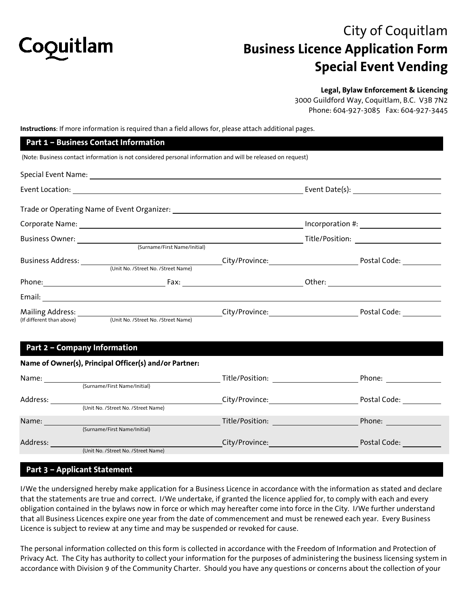

# City of Coquitlam **Business Licence Application Form Special Event Vending**

#### **Legal, Bylaw Enforcement & Licencing**

3000 Guildford Way, Coquitlam, B.C. V3B 7N2 Phone: 604-927-3085 Fax: 604-927-3445

**Instructions**: If more information is required than a field allows for, please attach additional pages.

|                              | Part 1 - Business Contact Information                                                                       |  |  |                     |  |
|------------------------------|-------------------------------------------------------------------------------------------------------------|--|--|---------------------|--|
|                              | (Note: Business contact information is not considered personal information and will be released on request) |  |  |                     |  |
|                              |                                                                                                             |  |  |                     |  |
|                              |                                                                                                             |  |  |                     |  |
|                              |                                                                                                             |  |  |                     |  |
|                              |                                                                                                             |  |  | $Incorporation \#:$ |  |
|                              |                                                                                                             |  |  |                     |  |
|                              | (Surname/First Name/Initial)                                                                                |  |  |                     |  |
|                              |                                                                                                             |  |  |                     |  |
|                              |                                                                                                             |  |  |                     |  |
|                              |                                                                                                             |  |  |                     |  |
|                              |                                                                                                             |  |  |                     |  |
|                              |                                                                                                             |  |  |                     |  |
|                              | (If different than above) (Unit No. /Street No. /Street Name)                                               |  |  |                     |  |
|                              |                                                                                                             |  |  |                     |  |
| Part 2 - Company Information |                                                                                                             |  |  |                     |  |
|                              |                                                                                                             |  |  |                     |  |

### **Name of Owner(s), Principal Officer(s) and/or Partner:**

| Name:    |                                     | Title/Position: | Phone:       |
|----------|-------------------------------------|-----------------|--------------|
|          | (Surname/First Name/Initial)        |                 |              |
| Address: |                                     | City/Province:  | Postal Code: |
|          | (Unit No. /Street No. /Street Name) |                 |              |
| Name:    |                                     | Title/Position: | Phone:       |
|          | (Surname/First Name/Initial)        |                 |              |
| Address: |                                     | City/Province:  | Postal Code: |
|          | (Unit No. /Street No. /Street Name) |                 |              |

### **Part 3 – Applicant Statement**

I/We the undersigned hereby make application for a Business Licence in accordance with the information as stated and declare that the statements are true and correct. I/We undertake, if granted the licence applied for, to comply with each and every obligation contained in the bylaws now in force or which may hereafter come into force in the City. I/We further understand that all Business Licences expire one year from the date of commencement and must be renewed each year. Every Business Licence is subject to review at any time and may be suspended or revoked for cause.

The personal information collected on this form is collected in accordance with the Freedom of Information and Protection of Privacy Act. The City has authority to collect your information for the purposes of administering the business licensing system in accordance with Division 9 of the Community Charter. Should you have any questions or concerns about the collection of your